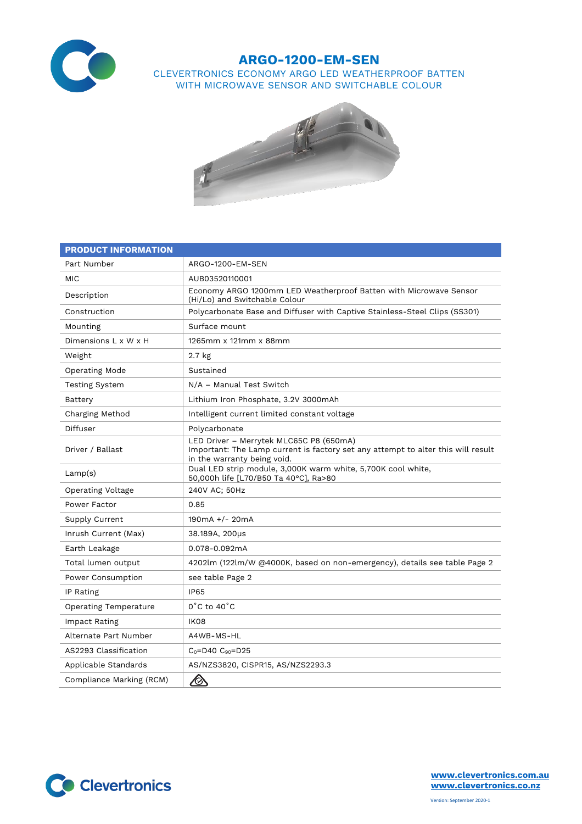

## **ARGO-1200-EM-SEN**

CLEVERTRONICS ECONOMY ARGO LED WEATHERPROOF BATTEN WITH MICROWAVE SENSOR AND SWITCHABLE COLOUR



| <b>PRODUCT INFORMATION</b>   |                                                                                                                                                            |  |  |  |
|------------------------------|------------------------------------------------------------------------------------------------------------------------------------------------------------|--|--|--|
| Part Number                  | ARGO-1200-EM-SEN                                                                                                                                           |  |  |  |
| <b>MIC</b>                   | AUB03520110001                                                                                                                                             |  |  |  |
| Description                  | Economy ARGO 1200mm LED Weatherproof Batten with Microwave Sensor<br>(Hi/Lo) and Switchable Colour                                                         |  |  |  |
| Construction                 | Polycarbonate Base and Diffuser with Captive Stainless-Steel Clips (SS301)                                                                                 |  |  |  |
| Mounting                     | Surface mount                                                                                                                                              |  |  |  |
| Dimensions L x W x H         | 1265mm x 121mm x 88mm                                                                                                                                      |  |  |  |
| Weight                       | $2.7$ kg                                                                                                                                                   |  |  |  |
| Operating Mode               | Sustained                                                                                                                                                  |  |  |  |
| <b>Testing System</b>        | N/A - Manual Test Switch                                                                                                                                   |  |  |  |
| Battery                      | Lithium Iron Phosphate, 3.2V 3000mAh                                                                                                                       |  |  |  |
| Charging Method              | Intelligent current limited constant voltage                                                                                                               |  |  |  |
| Diffuser                     | Polycarbonate                                                                                                                                              |  |  |  |
| Driver / Ballast             | LED Driver - Merrytek MLC65C P8 (650mA)<br>Important: The Lamp current is factory set any attempt to alter this will result<br>in the warranty being void. |  |  |  |
| Lamp(s)                      | Dual LED strip module, 3,000K warm white, 5,700K cool white,<br>50,000h life [L70/B50 Ta 40°C], Ra>80                                                      |  |  |  |
| Operating Voltage            | 240V AC; 50Hz                                                                                                                                              |  |  |  |
| Power Factor                 | 0.85                                                                                                                                                       |  |  |  |
| Supply Current               | $190mA +/- 20mA$                                                                                                                                           |  |  |  |
| Inrush Current (Max)         | 38.189A, 200µs                                                                                                                                             |  |  |  |
| Earth Leakage                | 0.078-0.092mA                                                                                                                                              |  |  |  |
| Total lumen output           | 4202lm (122lm/W @4000K, based on non-emergency), details see table Page 2                                                                                  |  |  |  |
| Power Consumption            | see table Page 2                                                                                                                                           |  |  |  |
| IP Rating                    | <b>IP65</b>                                                                                                                                                |  |  |  |
| <b>Operating Temperature</b> | $0^{\circ}$ C to 40 $^{\circ}$ C                                                                                                                           |  |  |  |
| Impact Rating                | IK08                                                                                                                                                       |  |  |  |
| Alternate Part Number        | A4WB-MS-HL                                                                                                                                                 |  |  |  |
| AS2293 Classification        | $C_0 = D40$ $C_{90} = D25$                                                                                                                                 |  |  |  |
| Applicable Standards         | AS/NZS3820, CISPR15, AS/NZS2293.3                                                                                                                          |  |  |  |
| Compliance Marking (RCM)     | $\bigotimes$                                                                                                                                               |  |  |  |